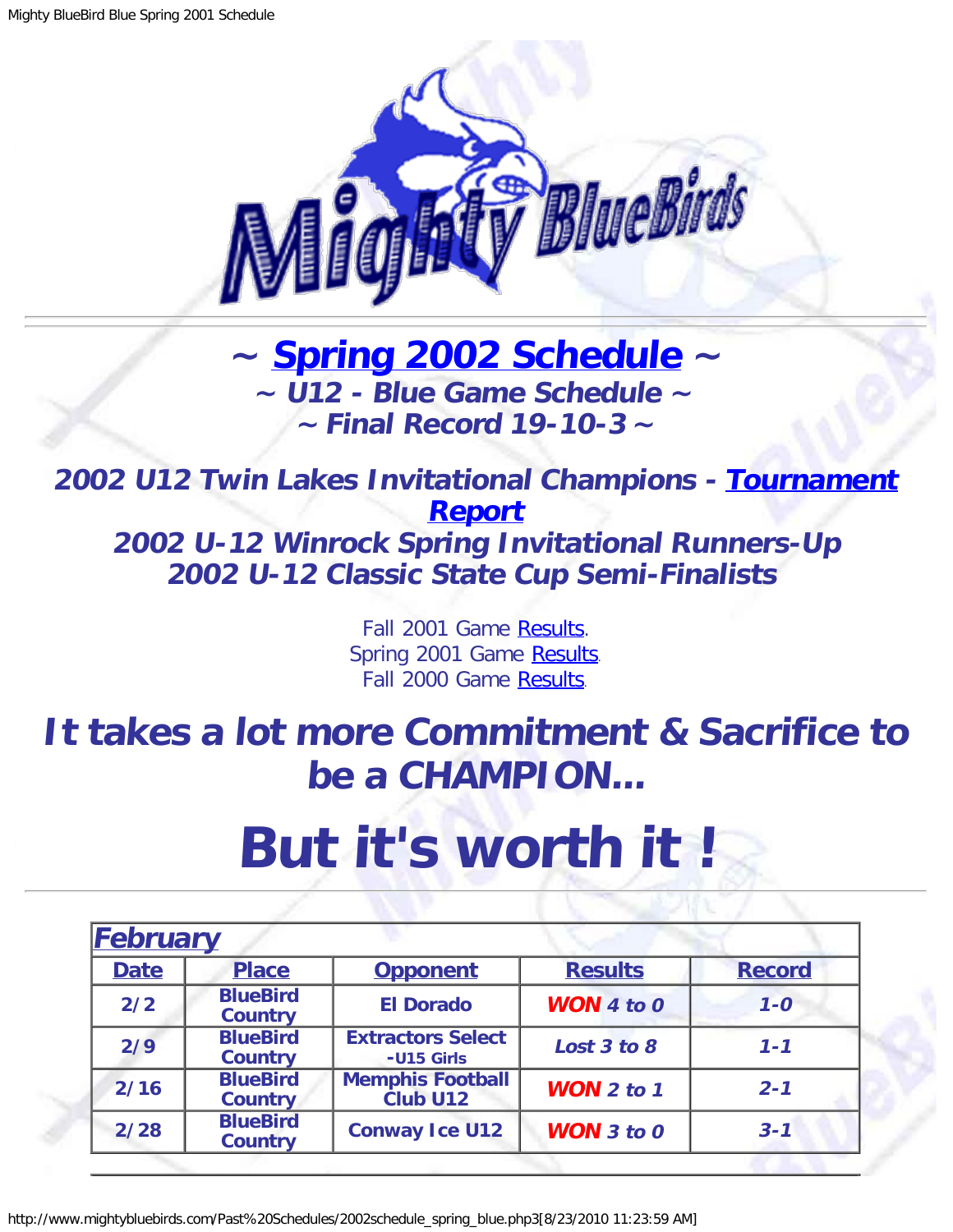

## **~ [Spring 2002 Schedule](#page-0-0) ~ ~ U12 - Blue Game Schedule ~ ~ Final Record 19-10-3 <sup>~</sup>**

<span id="page-0-1"></span>**2002 U12 Twin Lakes Invitational Champions - [Tournament](http://www.mightybluebirds.com/Tournaments/2002twinlake_blue.php3) [Report](http://www.mightybluebirds.com/Tournaments/2002twinlake_blue.php3) 2002 U-12 Winrock Spring Invitational Runners-Up 2002 U-12 Classic State Cup Semi-Finalists**

> Fall 2001 Game [Results.](http://www.mightybluebirds.com/Past%20Schedules/2001schedule_fall_blue.php3) Spring 2001 Game [Results.](http://www.mightybluebirds.com/Past%20Schedules/2001schedule_spring_blue.php3) Fall 2000 Game [Results.](http://www.mightybluebirds.com/Past%20Schedules/2000schedule_fall_blue.php3)

## **It takes a lot more Commitment & Sacrifice to be a CHAMPION...**

## **But it's worth it !**

<span id="page-0-0"></span>

| February                                 |                                   |                                        |                       |               |
|------------------------------------------|-----------------------------------|----------------------------------------|-----------------------|---------------|
| <b>Date</b>                              | <b>Place</b>                      | <b>Opponent</b>                        | <b>Results</b>        | <b>Record</b> |
| <b>BlueBird</b><br>2/2<br><b>Country</b> |                                   | <b>El Dorado</b>                       | <b>WON</b> 4 to $0$   | $1 - 0$       |
| 2/9                                      | <b>BlueBird</b><br><b>Country</b> | <b>Extractors Select</b><br>-U15 Girls | Lost 3 to 8           | $1 - 1$       |
| 2/16                                     | <b>BlueBird</b><br><b>Country</b> | <b>Memphis Football</b><br>Club U12    | <b>WON</b> $2$ to $1$ | $2 - 1$       |
| 2/28                                     | <b>BlueBird</b><br><b>Country</b> | <b>Conway Ice U12</b>                  | <b>WON</b> $3$ to $0$ | $3 - 1$       |

http://www.mightybluebirds.com/Past%20Schedules/2002schedule\_spring\_blue.php3[8/23/2010 11:23:59 AM]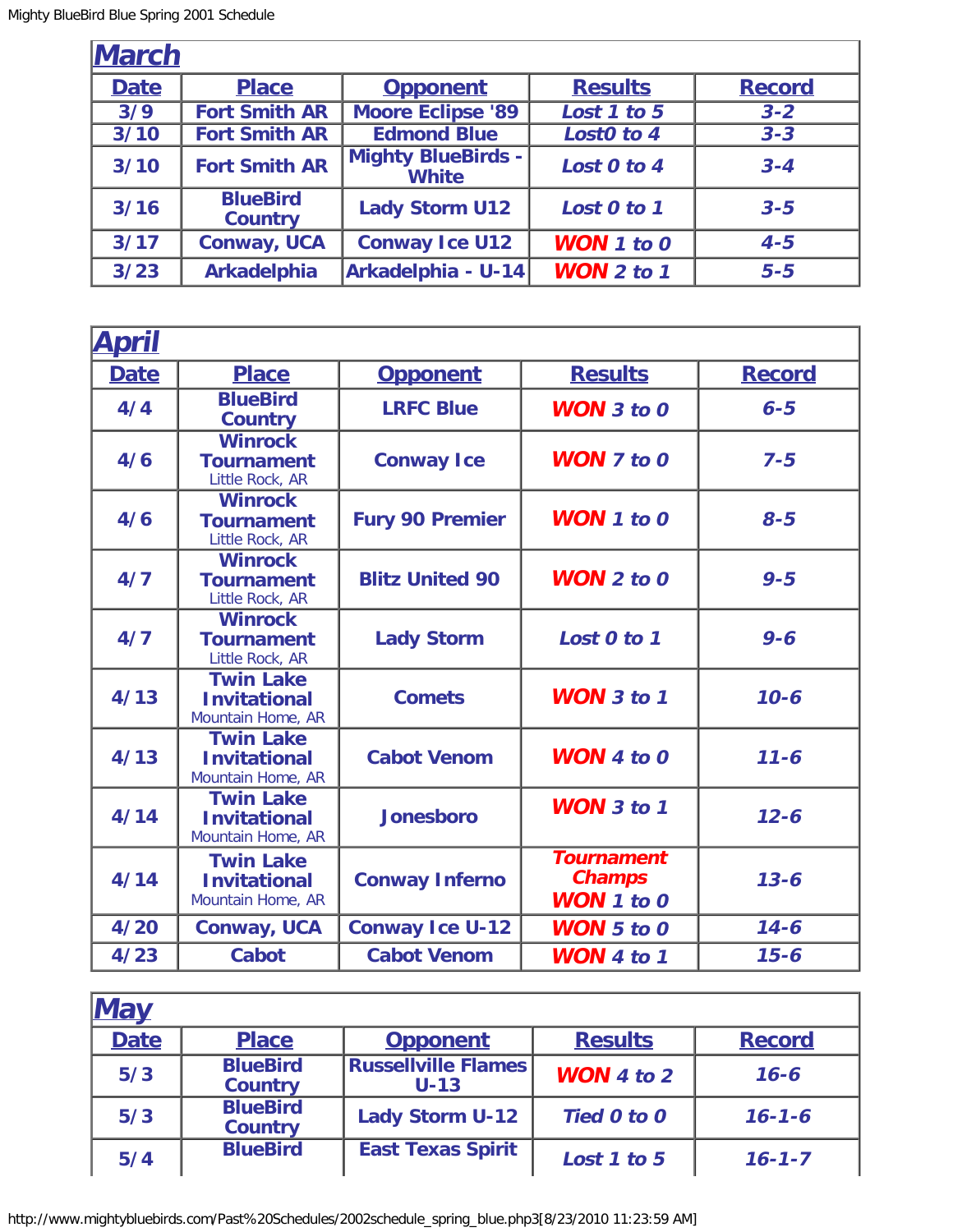| <b>March</b> |                                   |                                           |                       |               |
|--------------|-----------------------------------|-------------------------------------------|-----------------------|---------------|
| <b>Date</b>  | <b>Place</b>                      | <b>Opponent</b>                           | <b>Results</b>        | <b>Record</b> |
| 3/9          | <b>Fort Smith AR</b>              | <b>Moore Eclipse '89</b>                  | Lost 1 to 5           | $3 - 2$       |
| 3/10         | <b>Fort Smith AR</b>              | <b>Edmond Blue</b>                        | Lost0 to 4            | $3 - 3$       |
| 3/10         | <b>Fort Smith AR</b>              | <b>Mighty BlueBirds -</b><br><b>White</b> | Lost 0 to 4           | $3 - 4$       |
| $3/16$       | <b>BlueBird</b><br><b>Country</b> | <b>Lady Storm U12</b>                     | Lost 0 to 1           | $3 - 5$       |
| $3/17$       | <b>Conway, UCA</b>                | <b>Conway Ice U12</b>                     | <b>WON</b> 1 to 0     | $4 - 5$       |
| $3/23$       | <b>Arkadelphia</b>                | Arkadelphia - U-14                        | <b>WON</b> $2$ to $1$ | $5 - 5$       |

| <b>April</b> |                                                              |                        |                                                         |               |
|--------------|--------------------------------------------------------------|------------------------|---------------------------------------------------------|---------------|
| <b>Date</b>  | <b>Place</b>                                                 | <b>Opponent</b>        | <b>Results</b>                                          | <b>Record</b> |
| 4/4          | <b>BlueBird</b><br><b>Country</b>                            | <b>LRFC Blue</b>       | $WON$ 3 to 0                                            | $6 - 5$       |
| 4/6          | <b>Winrock</b><br><b>Tournament</b><br>Little Rock, AR       | <b>Conway Ice</b>      | <b>WON</b> $7$ to $0$                                   | $7 - 5$       |
| 4/6          | <b>Winrock</b><br><b>Tournament</b><br>Little Rock, AR       | <b>Fury 90 Premier</b> | $WON$ 1 to 0                                            | $8 - 5$       |
| 4/7          | <b>Winrock</b><br><b>Tournament</b><br>Little Rock, AR       | <b>Blitz United 90</b> | $WON$ 2 to 0                                            | $9 - 5$       |
| 4/7          | <b>Winrock</b><br><b>Tournament</b><br>Little Rock, AR       | <b>Lady Storm</b>      | Lost 0 to 1                                             | $9 - 6$       |
| 4/13         | <b>Twin Lake</b><br><b>Invitational</b><br>Mountain Home, AR | <b>Comets</b>          | <b>WON</b> 3 to 1                                       | $10 - 6$      |
| 4/13         | <b>Twin Lake</b><br><b>Invitational</b><br>Mountain Home, AR | <b>Cabot Venom</b>     | $WON$ 4 to 0                                            | $11 - 6$      |
| 4/14         | <b>Twin Lake</b><br><b>Invitational</b><br>Mountain Home, AR | <b>Jonesboro</b>       | <b>WON</b> $3$ to $1$                                   | $12 - 6$      |
| 4/14         | <b>Twin Lake</b><br><b>Invitational</b><br>Mountain Home, AR | <b>Conway Inferno</b>  | <b>Tournament</b><br><b>Champs</b><br><b>WON</b> 1 to 0 | $13 - 6$      |
| 4/20         | <b>Conway, UCA</b>                                           | <b>Conway Ice U-12</b> | <b>WON</b> 5 to 0                                       | $14 - 6$      |
| 4/23         | <b>Cabot</b>                                                 | <b>Cabot Venom</b>     | WON 4 to 1                                              | $15 - 6$      |

| <b>May</b>  |                                   |                                      |                     |               |
|-------------|-----------------------------------|--------------------------------------|---------------------|---------------|
| <b>Date</b> | <b>Place</b>                      | <b>Opponent</b>                      | <b>Results</b>      | <b>Record</b> |
| 5/3         | <b>BlueBird</b><br><b>Country</b> | <b>Russellville Flames</b><br>$U-13$ | <b>WON</b> 4 to $2$ | $16 - 6$      |
| 5/3         | <b>BlueBird</b><br><b>Country</b> | <b>Lady Storm U-12</b>               | Tied 0 to 0         | $16 - 1 - 6$  |
| 5/4         | <b>BlueBird</b>                   | <b>East Texas Spirit</b>             | Lost 1 to 5         | $16 - 1 - 7$  |

http://www.mightybluebirds.com/Past%20Schedules/2002schedule\_spring\_blue.php3[8/23/2010 11:23:59 AM]